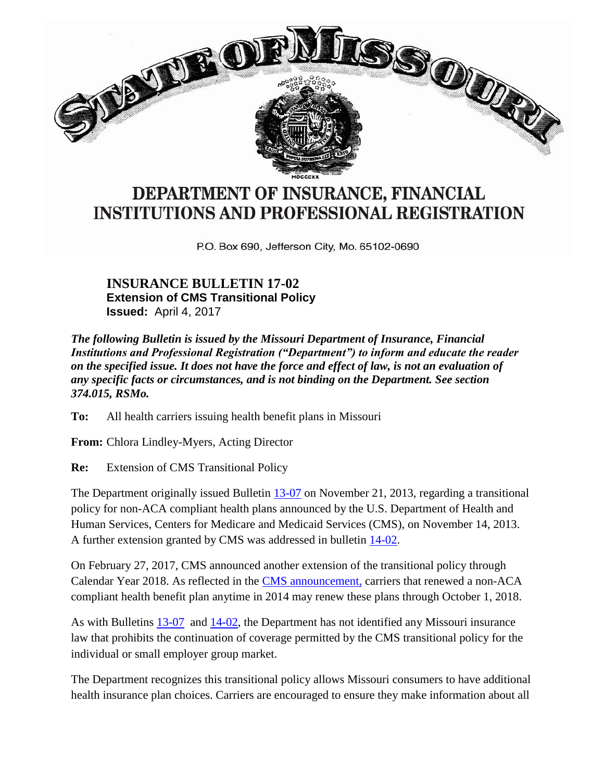

## DEPARTMENT OF INSURANCE, FINANCIAL **INSTITUTIONS AND PROFESSIONAL REGISTRATION**

P.O. Box 690, Jefferson City, Mo. 65102-0690

## **INSURANCE BULLETIN 17-02 Extension of CMS Transitional Policy Issued:** April 4, 2017

*The following Bulletin is issued by the Missouri Department of Insurance, Financial Institutions and Professional Registration ("Department") to inform and educate the reader on the specified issue. It does not have the force and effect of law, is not an evaluation of any specific facts or circumstances, and is not binding on the Department. See section 374.015, RSMo.*

**To:** All health carriers issuing health benefit plans in Missouri

**From:** Chlora Lindley-Myers, Acting Director

**Re:** Extension of CMS Transitional Policy

The Department originally issued Bulletin [13-07](http://insurance.mo.gov/laws/bulletin/documents/InsuranceBulletin13-0711-21-13.pdf) on November 21, 2013, regarding a transitional policy for non-ACA compliant health plans announced by the U.S. Department of Health and Human Services, Centers for Medicare and Medicaid Services (CMS), on November 14, 2013. A further extension granted by CMS was addressed in bulletin [14-02.](http://insurance.mo.gov/laws/bulletin/documents/InsuranceBulletin14-02.pdf)

On February 27, 2017, CMS announced another extension of the transitional policy through Calendar Year 2018. As reflected in the [CMS announcement,](https://www.cms.gov/CCIIO/Resources/Regulations-and-Guidance/Downloads/Extension-Transitional-Policy-CY2018.pdf) carriers that renewed a non-ACA compliant health benefit plan anytime in 2014 may renew these plans through October 1, 2018.

As with Bulletins [13-07](http://insurance.mo.gov/laws/bulletin/documents/InsuranceBulletin13-0711-21-13.pdf) and [14-02,](http://insurance.mo.gov/laws/bulletin/documents/InsuranceBulletin14-02.pdf) the Department has not identified any Missouri insurance law that prohibits the continuation of coverage permitted by the CMS transitional policy for the individual or small employer group market.

The Department recognizes this transitional policy allows Missouri consumers to have additional health insurance plan choices. Carriers are encouraged to ensure they make information about all